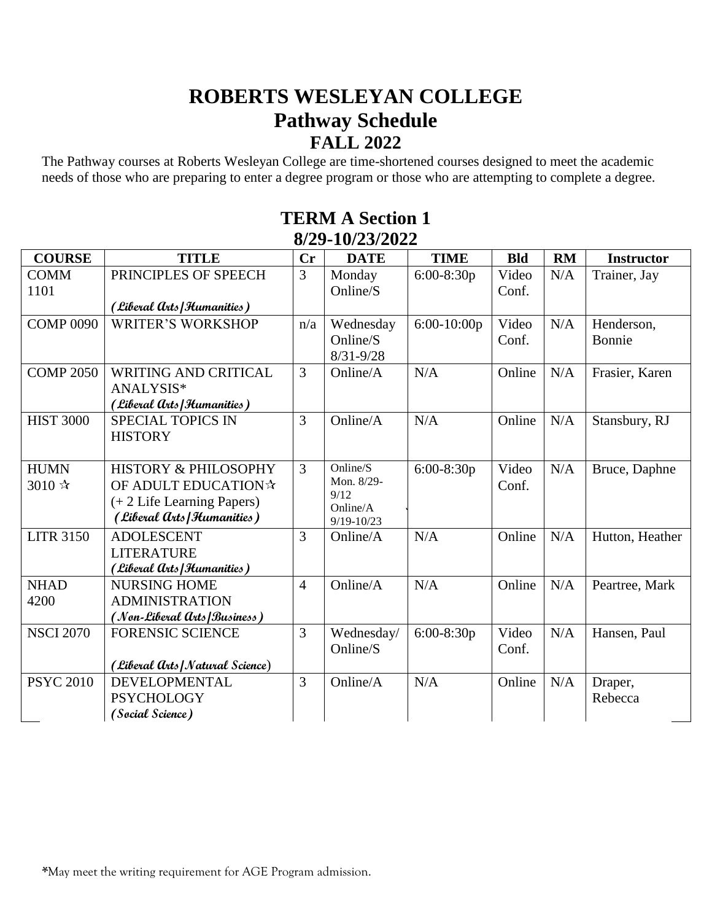## **ROBERTS WESLEYAN COLLEGE Pathway Schedule FALL 2022**

The Pathway courses at Roberts Wesleyan College are time-shortened courses designed to meet the academic needs of those who are preparing to enter a degree program or those who are attempting to complete a degree.

| <b>COURSE</b>    | <b>TITLE</b>                     | Cr             | <b>DATE</b>        | <b>TIME</b>   | <b>Bld</b> | <b>RM</b> | <b>Instructor</b> |
|------------------|----------------------------------|----------------|--------------------|---------------|------------|-----------|-------------------|
| <b>COMM</b>      | PRINCIPLES OF SPEECH             | 3              | Monday             | $6:00-8:30p$  | Video      | N/A       | Trainer, Jay      |
| 1101             |                                  |                | Online/S           |               | Conf.      |           |                   |
|                  | (Liberal Arts Humanities)        |                |                    |               |            |           |                   |
| <b>COMP 0090</b> | <b>WRITER'S WORKSHOP</b>         | n/a            | Wednesday          | $6:00-10:00p$ | Video      | N/A       | Henderson,        |
|                  |                                  |                | Online/S           |               | Conf.      |           | Bonnie            |
|                  |                                  |                | $8/31 - 9/28$      |               |            |           |                   |
| <b>COMP 2050</b> | <b>WRITING AND CRITICAL</b>      | 3              | Online/A           | N/A           | Online     | N/A       | Frasier, Karen    |
|                  | ANALYSIS*                        |                |                    |               |            |           |                   |
|                  | (Liberal Arts Humanities)        |                |                    |               |            |           |                   |
| <b>HIST 3000</b> | <b>SPECIAL TOPICS IN</b>         | 3              | Online/A           | N/A           | Online     | N/A       | Stansbury, RJ     |
|                  | <b>HISTORY</b>                   |                |                    |               |            |           |                   |
|                  |                                  |                |                    |               |            |           |                   |
| <b>HUMN</b>      | <b>HISTORY &amp; PHILOSOPHY</b>  | 3              | Online/S           | 6:00-8:30p    | Video      | N/A       | Bruce, Daphne     |
| 3010 ☆           | OF ADULT EDUCATION☆              |                | Mon. 8/29-<br>9/12 |               | Conf.      |           |                   |
|                  | $(+ 2$ Life Learning Papers)     |                | Online/A           |               |            |           |                   |
|                  | (Liberal Arts Humanities)        |                | $9/19 - 10/23$     |               |            |           |                   |
| <b>LITR 3150</b> | <b>ADOLESCENT</b>                | 3              | Online/A           | N/A           | Online     | N/A       | Hutton, Heather   |
|                  | <b>LITERATURE</b>                |                |                    |               |            |           |                   |
|                  | (Liberal Arts Humanities)        |                |                    |               |            |           |                   |
| <b>NHAD</b>      | <b>NURSING HOME</b>              | $\overline{4}$ | Online/A           | N/A           | Online     | N/A       | Peartree, Mark    |
| 4200             | <b>ADMINISTRATION</b>            |                |                    |               |            |           |                   |
|                  | (Non-Liberal Arts Business)      |                |                    |               |            |           |                   |
| <b>NSCI 2070</b> | <b>FORENSIC SCIENCE</b>          | 3              | Wednesday/         | 6:00-8:30p    | Video      | N/A       | Hansen, Paul      |
|                  |                                  |                | Online/S           |               | Conf.      |           |                   |
|                  | (Liberal Arts   Natural Science) |                |                    |               |            |           |                   |
| <b>PSYC 2010</b> | DEVELOPMENTAL                    | 3              | Online/A           | N/A           | Online     | N/A       | Draper,           |
|                  | <b>PSYCHOLOGY</b>                |                |                    |               |            |           | Rebecca           |
|                  | (Social Science)                 |                |                    |               |            |           |                   |

## **TERM A Section 1 8/29-10/23/2022**